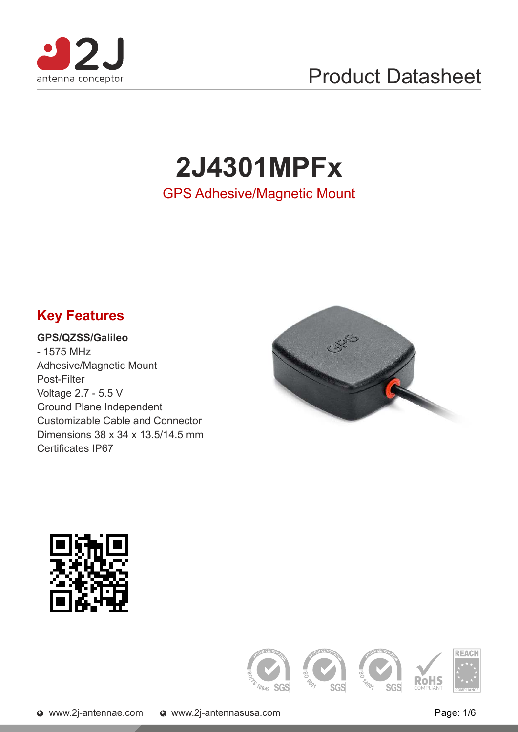

## Product Datasheet

# **2J4301MPFx**

GPS Adhesive/Magnetic Mount

#### **Key Features**

#### **GPS/QZSS/Galileo**

- 1575 MHz Adhesive/Magnetic Mount Post-Filter Voltage 2.7 - 5.5 V Ground Plane Independent Customizable Cable and Connector Dimensions 38 x 34 x 13.5/14.5 mm Certificates IP67





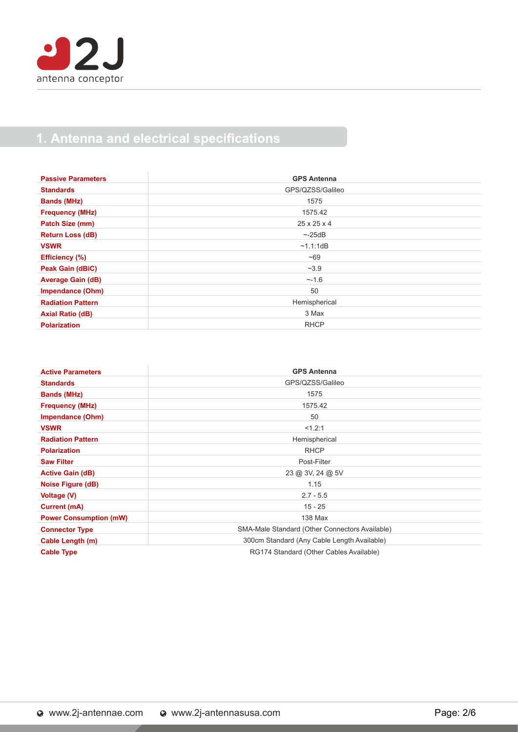

#### 1. Antenna and electrical specifications

| <b>Passive Parameters</b> | <b>GPS Antenna</b>      |
|---------------------------|-------------------------|
| <b>Standards</b>          | GPS/QZSS/Galileo        |
| <b>Bands (MHz)</b>        | 1575                    |
| <b>Frequency (MHz)</b>    | 1575.42                 |
| Patch Size (mm)           | $25 \times 25 \times 4$ |
| <b>Return Loss (dB)</b>   | ~25dB                   |
| <b>VSWR</b>               | ~1.1:1dB                |
| <b>Efficiency (%)</b>     | ~100                    |
| Peak Gain (dBiC)          | ~23.9                   |
| <b>Average Gain (dB)</b>  | ~1.6                    |
| <b>Impendance (Ohm)</b>   | 50                      |
| <b>Radiation Pattern</b>  | Hemispherical           |
| <b>Axial Ratio (dB)</b>   | 3 Max                   |
| <b>Polarization</b>       | <b>RHCP</b>             |

| <b>Active Parameters</b>      | <b>GPS Antenna</b>                             |
|-------------------------------|------------------------------------------------|
| <b>Standards</b>              | GPS/QZSS/Galileo                               |
| <b>Bands (MHz)</b>            | 1575                                           |
| <b>Frequency (MHz)</b>        | 1575.42                                        |
| Impendance (Ohm)              | 50                                             |
| <b>VSWR</b>                   | <1.2:1                                         |
| <b>Radiation Pattern</b>      | Hemispherical                                  |
| <b>Polarization</b>           | <b>RHCP</b>                                    |
| <b>Saw Filter</b>             | Post-Filter                                    |
| <b>Active Gain (dB)</b>       | 23 @ 3V, 24 @ 5V                               |
| <b>Noise Figure (dB)</b>      | 1.15                                           |
| <b>Voltage (V)</b>            | $2.7 - 5.5$                                    |
| Current (mA)                  | $15 - 25$                                      |
| <b>Power Consumption (mW)</b> | 138 Max                                        |
| <b>Connector Type</b>         | SMA-Male Standard (Other Connectors Available) |
| Cable Length (m)              | 300cm Standard (Any Cable Length Available)    |
| <b>Cable Type</b>             | RG174 Standard (Other Cables Available)        |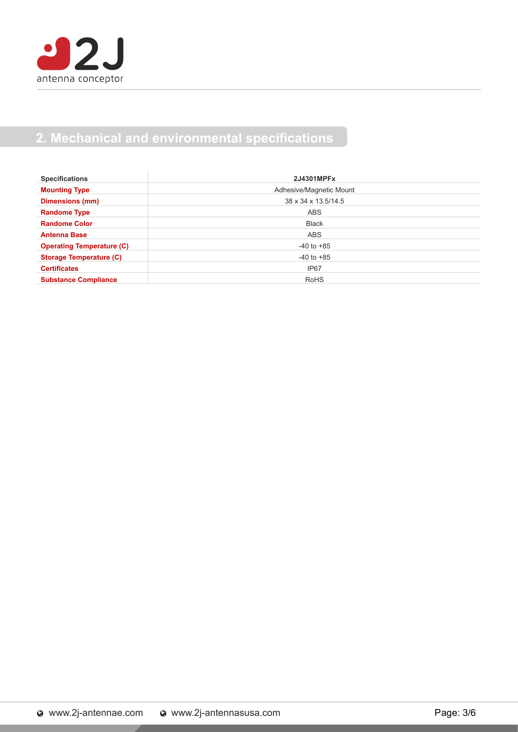

#### **2. Mechanical and environmental specifications**

| <b>Specifications</b>            | 2J4301MPFx              |  |
|----------------------------------|-------------------------|--|
| <b>Mounting Type</b>             | Adhesive/Magnetic Mount |  |
| <b>Dimensions (mm)</b>           | 38 x 34 x 13.5/14.5     |  |
| <b>Randome Type</b>              | <b>ABS</b>              |  |
| <b>Randome Color</b>             | <b>Black</b>            |  |
| <b>Antenna Base</b>              | <b>ABS</b>              |  |
| <b>Operating Temperature (C)</b> | $-40$ to $+85$          |  |
| <b>Storage Temperature (C)</b>   | $-40$ to $+85$          |  |
| <b>Certificates</b>              | IP67                    |  |
| <b>Substance Compliance</b>      | <b>RoHS</b>             |  |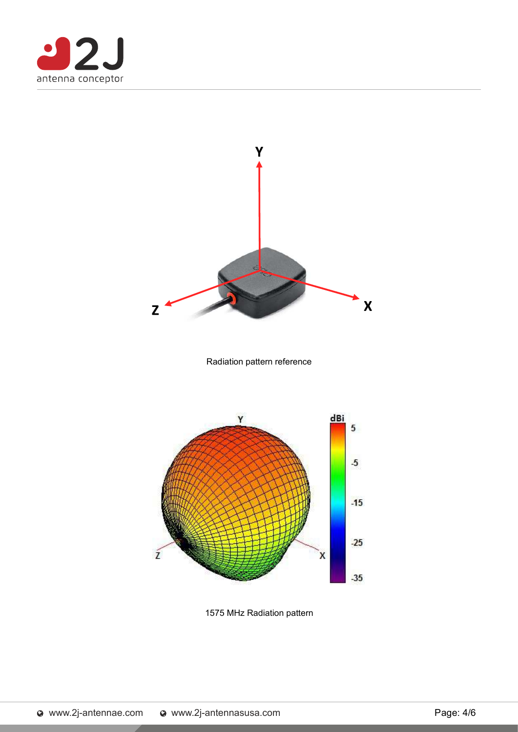



1575 MHz Radiation pattern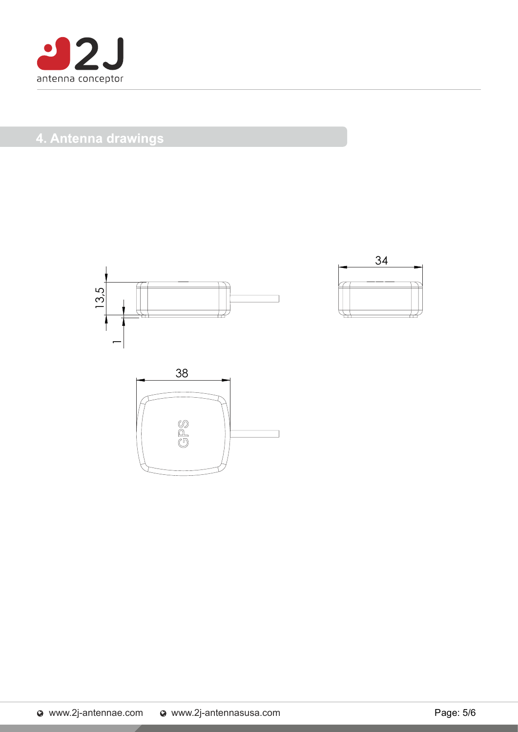

#### 4. Antenna drawings